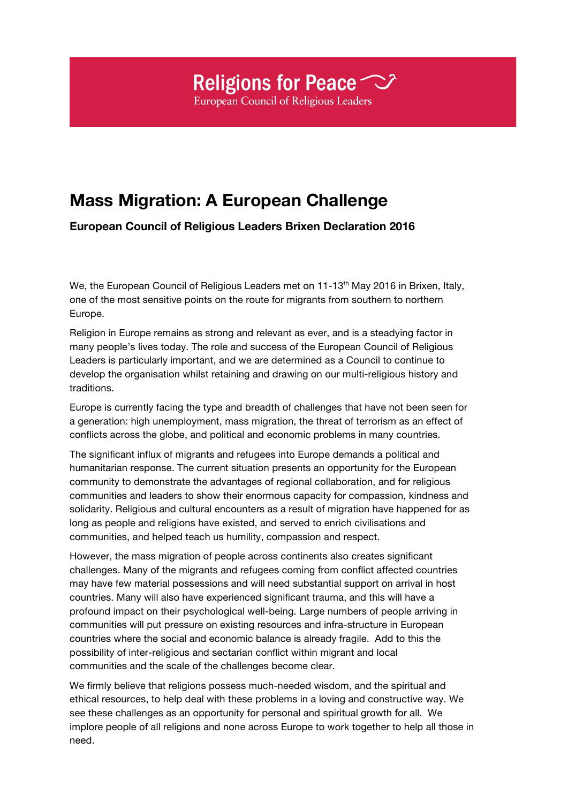## Religions for Peace  $\heartsuit$ **European Council of Religious Leaders**

## **Mass Migration: A European Challenge**

**European Council of Religious Leaders Brixen Declaration 2016**

We, the European Council of Religious Leaders met on  $11-13<sup>th</sup>$  May 2016 in Brixen, Italy, one of the most sensitive points on the route for migrants from southern to northern Europe.

Religion in Europe remains as strong and relevant as ever, and is a steadying factor in many people's lives today. The role and success of the European Council of Religious Leaders is particularly important, and we are determined as a Council to continue to develop the organisation whilst retaining and drawing on our multi-religious history and traditions.

Europe is currently facing the type and breadth of challenges that have not been seen for a generation: high unemployment, mass migration, the threat of terrorism as an effect of conflicts across the globe, and political and economic problems in many countries.

The significant influx of migrants and refugees into Europe demands a political and humanitarian response. The current situation presents an opportunity for the European community to demonstrate the advantages of regional collaboration, and for religious communities and leaders to show their enormous capacity for compassion, kindness and solidarity. Religious and cultural encounters as a result of migration have happened for as long as people and religions have existed, and served to enrich civilisations and communities, and helped teach us humility, compassion and respect.

However, the mass migration of people across continents also creates significant challenges. Many of the migrants and refugees coming from conflict affected countries may have few material possessions and will need substantial support on arrival in host countries. Many will also have experienced significant trauma, and this will have a profound impact on their psychological well-being. Large numbers of people arriving in communities will put pressure on existing resources and infra-structure in European countries where the social and economic balance is already fragile. Add to this the possibility of inter-religious and sectarian conflict within migrant and local communities and the scale of the challenges become clear.

We firmly believe that religions possess much-needed wisdom, and the spiritual and ethical resources, to help deal with these problems in a loving and constructive way. We see these challenges as an opportunity for personal and spiritual growth for all. We implore people of all religions and none across Europe to work together to help all those in need.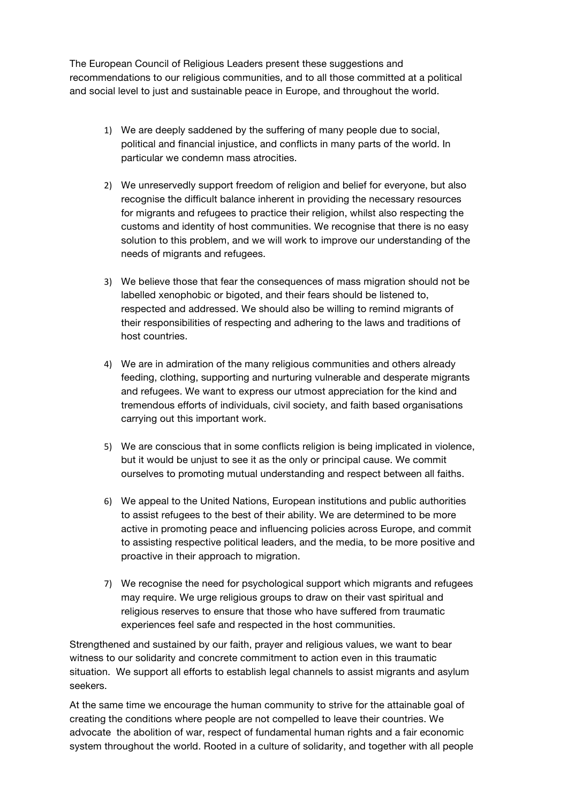The European Council of Religious Leaders present these suggestions and recommendations to our religious communities, and to all those committed at a political and social level to just and sustainable peace in Europe, and throughout the world.

- 1) We are deeply saddened by the suffering of many people due to social, political and financial injustice, and conflicts in many parts of the world. In particular we condemn mass atrocities.
- 2) We unreservedly support freedom of religion and belief for everyone, but also recognise the difficult balance inherent in providing the necessary resources for migrants and refugees to practice their religion, whilst also respecting the customs and identity of host communities. We recognise that there is no easy solution to this problem, and we will work to improve our understanding of the needs of migrants and refugees.
- 3) We believe those that fear the consequences of mass migration should not be labelled xenophobic or bigoted, and their fears should be listened to, respected and addressed. We should also be willing to remind migrants of their responsibilities of respecting and adhering to the laws and traditions of host countries.
- 4) We are in admiration of the many religious communities and others already feeding, clothing, supporting and nurturing vulnerable and desperate migrants and refugees. We want to express our utmost appreciation for the kind and tremendous efforts of individuals, civil society, and faith based organisations carrying out this important work.
- 5) We are conscious that in some conflicts religion is being implicated in violence, but it would be unjust to see it as the only or principal cause. We commit ourselves to promoting mutual understanding and respect between all faiths.
- 6) We appeal to the United Nations, European institutions and public authorities to assist refugees to the best of their ability. We are determined to be more active in promoting peace and influencing policies across Europe, and commit to assisting respective political leaders, and the media, to be more positive and proactive in their approach to migration.
- 7) We recognise the need for psychological support which migrants and refugees may require. We urge religious groups to draw on their vast spiritual and religious reserves to ensure that those who have suffered from traumatic experiences feel safe and respected in the host communities.

Strengthened and sustained by our faith, prayer and religious values, we want to bear witness to our solidarity and concrete commitment to action even in this traumatic situation. We support all efforts to establish legal channels to assist migrants and asylum seekers.

At the same time we encourage the human community to strive for the attainable goal of creating the conditions where people are not compelled to leave their countries. We advocate the abolition of war, respect of fundamental human rights and a fair economic system throughout the world. Rooted in a culture of solidarity, and together with all people